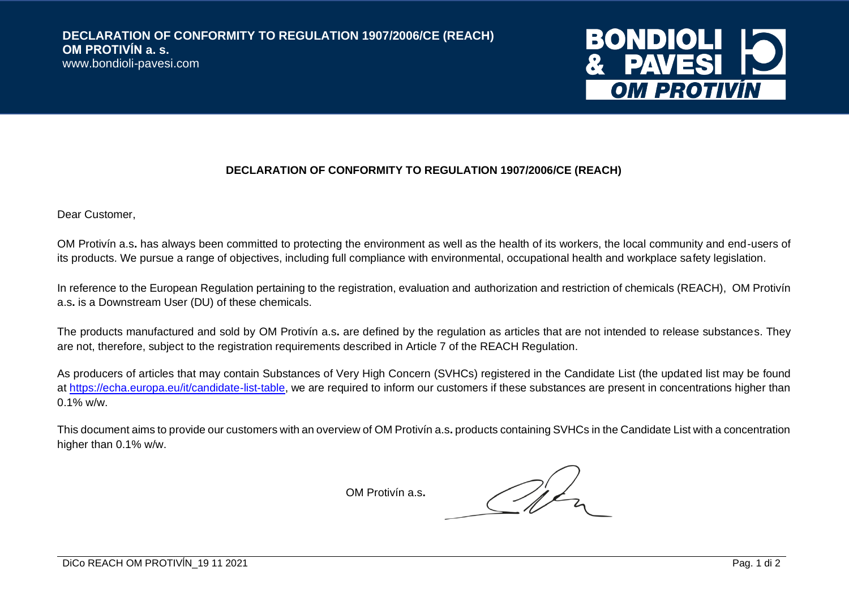

## **DECLARATION OF CONFORMITY TO REGULATION 1907/2006/CE (REACH)**

Dear Customer,

OM Protivín a.s**.** has always been committed to protecting the environment as well as the health of its workers, the local community and end-users of its products. We pursue a range of objectives, including full compliance with environmental, occupational health and workplace safety legislation.

In reference to the European Regulation pertaining to the registration, evaluation and authorization and restriction of chemicals (REACH), OM Protivín a.s**.** is a Downstream User (DU) of these chemicals.

The products manufactured and sold by OM Protivín a.s**.** are defined by the regulation as articles that are not intended to release substances. They are not, therefore, subject to the registration requirements described in Article 7 of the REACH Regulation.

As producers of articles that may contain Substances of Very High Concern (SVHCs) registered in the Candidate List (the updated list may be found at [https://echa.europa.eu/it/candidate-list-table,](https://echa.europa.eu/it/candidate-list-table) we are required to inform our customers if these substances are present in concentrations higher than 0.1% w/w.

This document aims to provide our customers with an overview of OM Protivín a.s**.** products containing SVHCs in the Candidate List with a concentration higher than 0.1% w/w.

OM Protivín a.s**.**